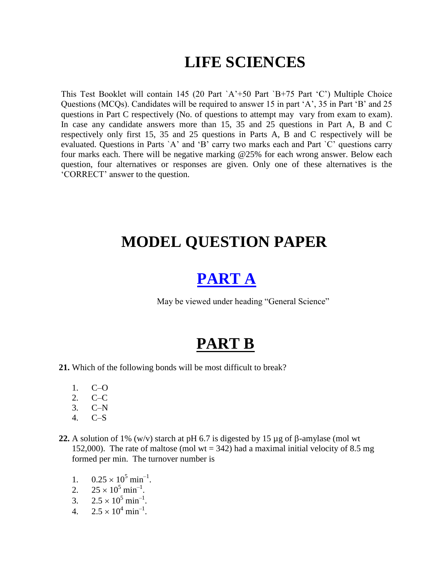## **LIFE SCIENCES**

This Test Booklet will contain 145 (20 Part `A"+50 Part `B+75 Part "C") Multiple Choice Questions (MCQs). Candidates will be required to answer 15 in part "A", 35 in Part "B" and 25 questions in Part C respectively (No. of questions to attempt may vary from exam to exam). In case any candidate answers more than 15, 35 and 25 questions in Part A, B and C respectively only first 15, 35 and 25 questions in Parts A, B and C respectively will be evaluated. Questions in Parts `A" and "B" carry two marks each and Part `C" questions carry four marks each. There will be negative marking @25% for each wrong answer. Below each question, four alternatives or responses are given. Only one of these alternatives is the "CORRECT" answer to the question.

### **MODEL QUESTION PAPER**

## **[PART A](gp.pdf)**

May be viewed under heading "General Science"

### **PART B**

- **21.** Which of the following bonds will be most difficult to break?
	- 1. C–O
	- $2^{\circ}$  C–C
	- 3. C–N
	- 4. C–S
- **22.** A solution of 1% (w/v) starch at pH 6.7 is digested by 15  $\mu$ g of  $\beta$ -amylase (mol wt 152,000). The rate of maltose (mol  $wt = 342$ ) had a maximal initial velocity of 8.5 mg formed per min. The turnover number is
	- 1.  $0.25 \times 10^5 \text{ min}^{-1}$ .
	- 2.  $25 \times 10^5 \text{ min}^{-1}$ .
	- 3.  $2.5 \times 10^5 \text{ min}^{-1}$ .
	- 4.  $2.5 \times 10^4 \text{ min}^{-1}$ .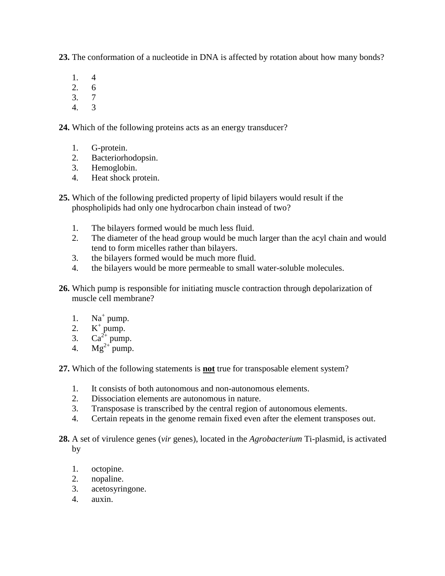**23.** The conformation of a nucleotide in DNA is affected by rotation about how many bonds?

- 1. 4
- 2. 6
- 3. 7
- 4. 3

**24.** Which of the following proteins acts as an energy transducer?

- 1. G-protein.
- 2. Bacteriorhodopsin.
- 3. Hemoglobin.
- 4. Heat shock protein.
- **25.** Which of the following predicted property of lipid bilayers would result if the phospholipids had only one hydrocarbon chain instead of two?
	- 1. The bilayers formed would be much less fluid.
	- 2. The diameter of the head group would be much larger than the acyl chain and would tend to form micelles rather than bilayers.
	- 3. the bilayers formed would be much more fluid.
	- 4. the bilayers would be more permeable to small water-soluble molecules.
- **26.** Which pump is responsible for initiating muscle contraction through depolarization of muscle cell membrane?
	- 1. Na<sup>+</sup> pump.
	- 2.  $K^+$  pump.
	- 3.  $Ca^{2+}$  pump.
	- 4.  $Mg^{2+}pump$ .

**27.** Which of the following statements is **not** true for transposable element system?

- 1. It consists of both autonomous and non-autonomous elements.
- 2. Dissociation elements are autonomous in nature.
- 3. Transposase is transcribed by the central region of autonomous elements.
- 4. Certain repeats in the genome remain fixed even after the element transposes out.
- **28.** A set of virulence genes (*vir* genes), located in the *Agrobacterium* Ti-plasmid, is activated by
	- 1. octopine.
	- 2. nopaline.
	- 3. acetosyringone.
	- 4. auxin.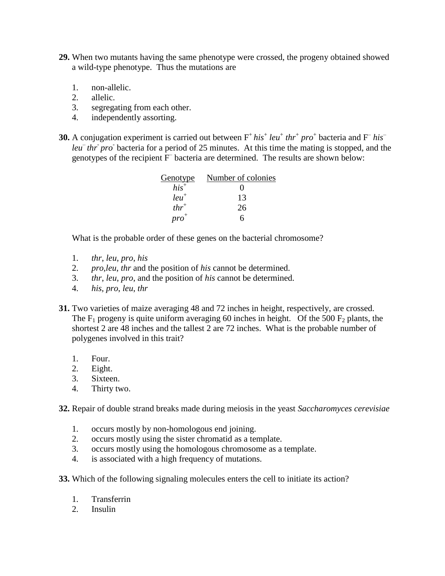- **29.** When two mutants having the same phenotype were crossed, the progeny obtained showed a wild-type phenotype. Thus the mutations are
	- 1. non-allelic.
	- 2. allelic.
	- 3. segregating from each other.
	- 4. independently assorting.
- **30.** A conjugation experiment is carried out between  $F^+ his^+$  *leu*<sup>+</sup> *thr*<sup>+</sup> *pro*<sup>+</sup> bacteria and  $F^- his^$ leu<sup>–</sup> thr<sup> $\bar{p}$ </sup> pro<sup>r</sup> bacteria for a period of 25 minutes. At this time the mating is stopped, and the genotypes of the recipient  $\overline{F}$  bacteria are determined. The results are shown below:

| Genotype  | Number of colonies |
|-----------|--------------------|
| $his^+$   | 0                  |
| $leu^+$   | 13                 |
| $thr^+$   | 26                 |
| $pro^{+}$ |                    |

What is the probable order of these genes on the bacterial chromosome?

- 1. *thr*, *leu*, *pro*, *his*
- 2. *pro,leu*, *thr* and the position of *his* cannot be determined.
- 3. *thr*, *leu*, *pro*, and the position of *his* cannot be determined.
- 4. *his, pro*, *leu*, *thr*
- **31.** Two varieties of maize averaging 48 and 72 inches in height, respectively, are crossed. The  $F_1$  progeny is quite uniform averaging 60 inches in height. Of the 500  $F_2$  plants, the shortest 2 are 48 inches and the tallest 2 are 72 inches. What is the probable number of polygenes involved in this trait?
	- 1. Four.
	- 2. Eight.
	- 3. Sixteen.
	- 4. Thirty two.

**32.** Repair of double strand breaks made during meiosis in the yeast *Saccharomyces cerevisiae*

- 1. occurs mostly by non-homologous end joining.
- 2. occurs mostly using the sister chromatid as a template.
- 3. occurs mostly using the homologous chromosome as a template.
- 4. is associated with a high frequency of mutations.
- **33.** Which of the following signaling molecules enters the cell to initiate its action?
	- 1. Transferrin
	- 2. Insulin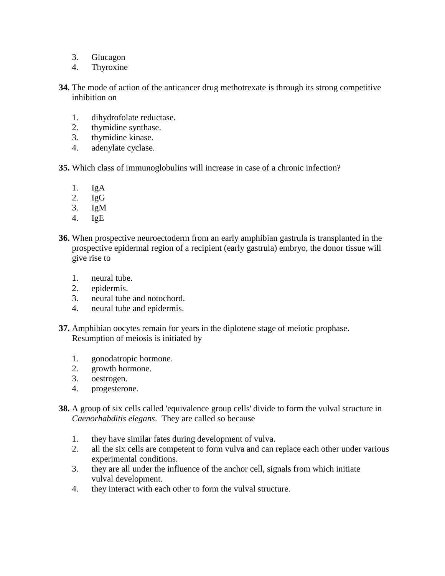- 3. Glucagon
- 4. Thyroxine
- **34.** The mode of action of the anticancer drug methotrexate is through its strong competitive inhibition on
	- 1. dihydrofolate reductase.
	- 2. thymidine synthase.
	- 3. thymidine kinase.
	- 4. adenylate cyclase.
- **35.** Which class of immunoglobulins will increase in case of a chronic infection?
	- 1. IgA
	- 2.  $IgG$
	- 3. IgM
	- 4. IgE
- **36.** When prospective neuroectoderm from an early amphibian gastrula is transplanted in the prospective epidermal region of a recipient (early gastrula) embryo, the donor tissue will give rise to
	- 1. neural tube.
	- 2. epidermis.
	- 3. neural tube and notochord.
	- 4. neural tube and epidermis.
- **37.** Amphibian oocytes remain for years in the diplotene stage of meiotic prophase. Resumption of meiosis is initiated by
	- 1. gonodatropic hormone.
	- 2. growth hormone.
	- 3. oestrogen.
	- 4. progesterone.
- **38.** A group of six cells called 'equivalence group cells' divide to form the vulval structure in *Caenorhabditis elegans*. They are called so because
	- 1. they have similar fates during development of vulva.
	- 2. all the six cells are competent to form vulva and can replace each other under various experimental conditions.
	- 3. they are all under the influence of the anchor cell, signals from which initiate vulval development.
	- 4. they interact with each other to form the vulval structure.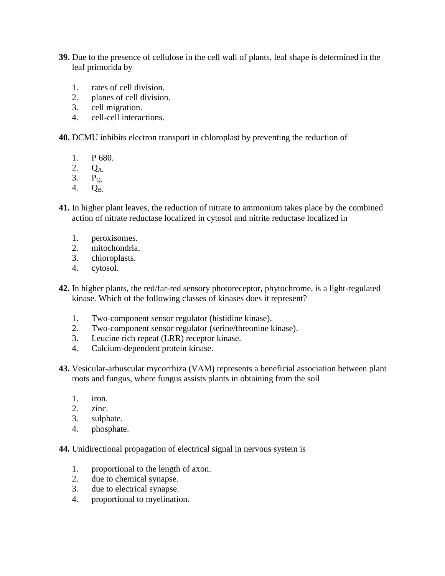- **39.** Due to the presence of cellulose in the cell wall of plants, leaf shape is determined in the leaf primorida by
	- 1. rates of cell division.
	- 2. planes of cell division.
	- 3. cell migration.
	- 4. cell-cell interactions.
- **40.** DCMU inhibits electron transport in chloroplast by preventing the reduction of
	- 1. P 680.
	- 2. QA.
	- $3.$  P<sub>O</sub>
	- 4. QB.
- **41.** In higher plant leaves, the reduction of nitrate to ammonium takes place by the combined action of nitrate reductase localized in cytosol and nitrite reductase localized in
	- 1. peroxisomes.
	- 2. mitochondria.
	- 3. chloroplasts.
	- 4. cytosol.
- **42.** In higher plants, the red/far-red sensory photoreceptor, phytochrome, is a light-regulated kinase. Which of the following classes of kinases does it represent?
	- 1. Two-component sensor regulator (histidine kinase).
	- 2. Two-component sensor regulator (serine/threonine kinase).
	- 3. Leucine rich repeat (LRR) receptor kinase.
	- 4. Calcium-dependent protein kinase.
- **43.** Vesicular-arbuscular mycorrhiza (VAM) represents a beneficial association between plant roots and fungus, where fungus assists plants in obtaining from the soil
	- 1. iron.
	- 2. zinc.
	- 3. sulphate.
	- 4. phosphate.

**44.** Unidirectional propagation of electrical signal in nervous system is

- 1. proportional to the length of axon.
- 2. due to chemical synapse.
- 3. due to electrical synapse.
- 4. proportional to myelination.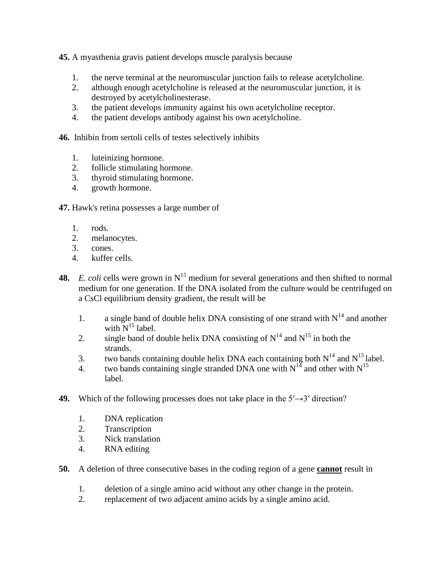**45.** A myasthenia gravis patient develops muscle paralysis because

- 1. the nerve terminal at the neuromuscular junction fails to release acetylcholine.
- 2. although enough acetylcholine is released at the neuromuscular junction, it is destroyed by acetylcholinesterase.
- 3. the patient develops immunity against his own acetylcholine receptor.
- 4. the patient develops antibody against his own acetylcholine.

**46.** Inhibin from sertoli cells of testes selectively inhibits

- 1. luteinizing hormone.
- 2. follicle stimulating hormone.
- 3. thyroid stimulating hormone.
- 4. growth hormone.
- **47.** Hawk's retina possesses a large number of
	- 1. rods.
	- 2. melanocytes.
	- 3. cones.
	- 4. kuffer cells.
- **48.** *E. coli* cells were grown in  $N^{15}$  medium for several generations and then shifted to normal medium for one generation. If the DNA isolated from the culture would be centrifuged on a CsCl equilibrium density gradient, the result will be
	- 1. a single band of double helix DNA consisting of one strand with  $N^{14}$  and another with  $N^{15}$  label.
	- 2. single band of double helix DNA consisting of  $N^{14}$  and  $N^{15}$  in both the strands.
	- 3. two bands containing double helix DNA each containing both  $N^{14}$  and  $N^{15}$  label.
	- 4. two bands containing single stranded DNA one with  $N^{14}$  and other with  $N^{15}$ label.
- **49.** Which of the following processes does not take place in the  $5' \rightarrow 3'$  direction?
	- 1. DNA replication
	- 2. Transcription
	- 3. Nick translation
	- 4. RNA editing
- **50.** A deletion of three consecutive bases in the coding region of a gene **cannot** result in
	- 1. deletion of a single amino acid without any other change in the protein.
	- 2. replacement of two adjacent amino acids by a single amino acid.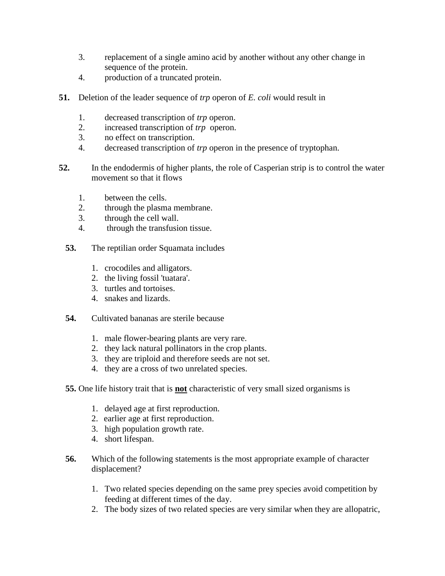- 3. replacement of a single amino acid by another without any other change in sequence of the protein.
- 4. production of a truncated protein.
- **51.** Deletion of the leader sequence of *trp* operon of *E. coli* would result in
	- 1. decreased transcription of *trp* operon.
	- 2. increased transcription of *trp* operon.
	- 3. no effect on transcription.
	- 4. decreased transcription of *trp* operon in the presence of tryptophan.
- **52.** In the endodermis of higher plants, the role of Casperian strip is to control the water movement so that it flows
	- 1. between the cells.
	- 2. through the plasma membrane.
	- 3. through the cell wall.
	- 4. through the transfusion tissue.
	- **53.** The reptilian order Squamata includes
		- 1. crocodiles and alligators.
		- 2. the living fossil 'tuatara'.
		- 3. turtles and tortoises.
		- 4. snakes and lizards.
	- **54.** Cultivated bananas are sterile because
		- 1. male flower-bearing plants are very rare.
		- 2. they lack natural pollinators in the crop plants.
		- 3. they are triploid and therefore seeds are not set.
		- 4. they are a cross of two unrelated species.
	- **55.** One life history trait that is **not** characteristic of very small sized organisms is
		- 1. delayed age at first reproduction.
		- 2. earlier age at first reproduction.
		- 3. high population growth rate.
		- 4. short lifespan.
	- **56.** Which of the following statements is the most appropriate example of character displacement?
		- 1. Two related species depending on the same prey species avoid competition by feeding at different times of the day.
		- 2. The body sizes of two related species are very similar when they are allopatric,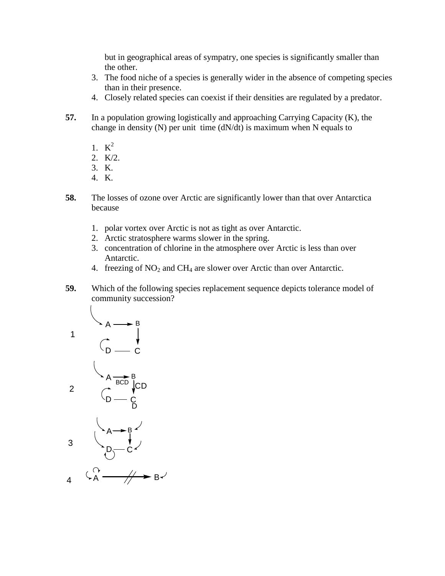but in geographical areas of sympatry, one species is significantly smaller than the other.

- 3. The food niche of a species is generally wider in the absence of competing species than in their presence.
- 4. Closely related species can coexist if their densities are regulated by a predator.
- **57.** In a population growing logistically and approaching Carrying Capacity (K), the change in density  $(N)$  per unit time  $(dN/dt)$  is maximum when N equals to
	- 1.  $K^2$
	- 2. K/2.
	- 3. K.
	- 4. K.
- **58.** The losses of ozone over Arctic are significantly lower than that over Antarctica because
	- 1. polar vortex over Arctic is not as tight as over Antarctic.
	- 2. Arctic stratosphere warms slower in the spring.
	- 3. concentration of chlorine in the atmosphere over Arctic is less than over Antarctic.
	- 4. freezing of  $NO<sub>2</sub>$  and  $CH<sub>4</sub>$  are slower over Arctic than over Antarctic.
- **59.** Which of the following species replacement sequence depicts tolerance model of community succession?





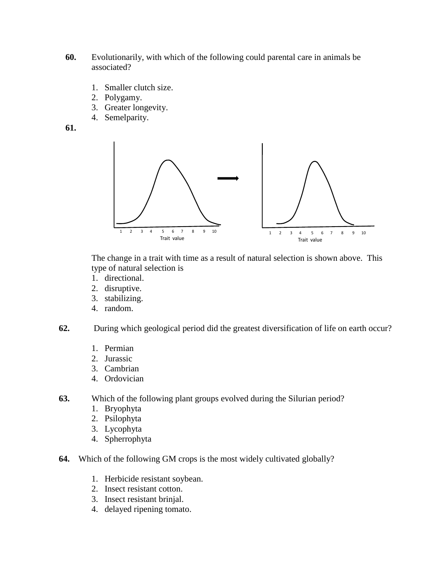- **60.** Evolutionarily, with which of the following could parental care in animals be associated?
	- 1. Smaller clutch size.
	- 2. Polygamy.
	- 3. Greater longevity.
	- 4. Semelparity.
- **61.**



The change in a trait with time as a result of natural selection is shown above. This type of natural selection is

- 1. directional.
- 2. disruptive.
- 3. stabilizing.
- 4. random.
- **62.** During which geological period did the greatest diversification of life on earth occur?
	- 1. Permian
	- 2. Jurassic
	- 3. Cambrian
	- 4. Ordovician
- **63.** Which of the following plant groups evolved during the Silurian period?
	- 1. Bryophyta
	- 2. Psilophyta
	- 3. Lycophyta
	- 4. Spherrophyta
- **64.** Which of the following GM crops is the most widely cultivated globally?
	- 1. Herbicide resistant soybean.
	- 2. Insect resistant cotton.
	- 3. Insect resistant brinjal.
	- 4. delayed ripening tomato.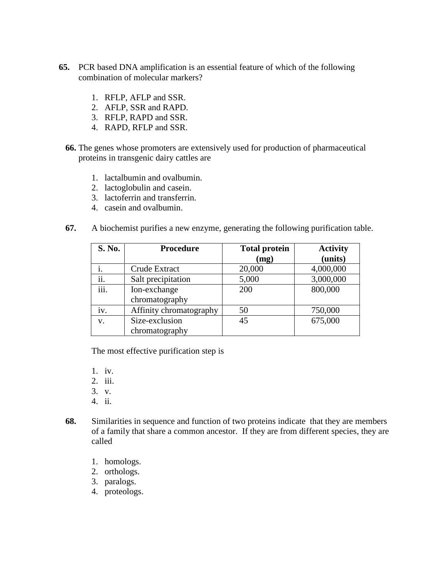- **65.** PCR based DNA amplification is an essential feature of which of the following combination of molecular markers?
	- 1. RFLP, AFLP and SSR.
	- 2. AFLP, SSR and RAPD.
	- 3. RFLP, RAPD and SSR.
	- 4. RAPD, RFLP and SSR.
	- **66.** The genes whose promoters are extensively used for production of pharmaceutical proteins in transgenic dairy cattles are
		- 1. lactalbumin and ovalbumin.
		- 2. lactoglobulin and casein.
		- 3. lactoferrin and transferrin.
		- 4. casein and ovalbumin.
	- **67.** A biochemist purifies a new enzyme, generating the following purification table.

| S. No. | <b>Procedure</b>        | <b>Total protein</b> | <b>Activity</b> |
|--------|-------------------------|----------------------|-----------------|
|        |                         | (mg)                 | (units)         |
|        | Crude Extract           | 20,000               | 4,000,000       |
| ii.    | Salt precipitation      | 5,000                | 3,000,000       |
| iii.   | Ion-exchange            | 200                  | 800,000         |
|        | chromatography          |                      |                 |
| 1V.    | Affinity chromatography | 50                   | 750,000         |
| V.     | Size-exclusion          | 45                   | 675,000         |
|        | chromatography          |                      |                 |

The most effective purification step is

1. iv.

- 2. iii.
- 3. v.
- 4. ii.
- **68.** Similarities in sequence and function of two proteins indicate that they are members of a family that share a common ancestor. If they are from different species, they are called
	- 1. homologs.
	- 2. orthologs.
	- 3. paralogs.
	- 4. proteologs.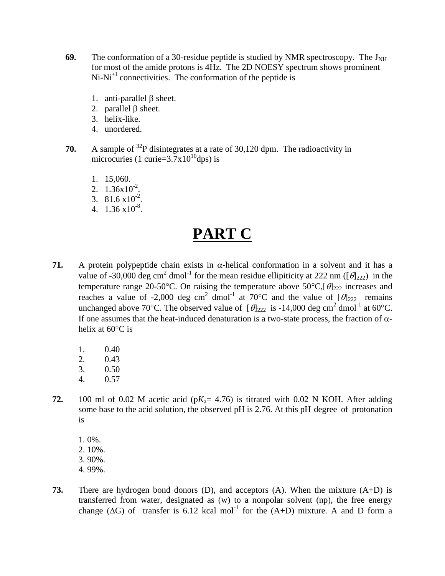- **69.** The conformation of a 30-residue peptide is studied by NMR spectroscopy. The  $J_{NH}$ for most of the amide protons is 4Hz. The 2D NOESY spectrum shows prominent  $Ni-Ni<sup>+</sup>$  connectivities. The conformation of the peptide is
	- 1. anti-parallel  $\beta$  sheet.
	- 2. parallel B sheet.
	- 3. helix-like.
	- 4. unordered.
- **70.** A sample of <sup>32</sup>P disintegrates at a rate of 30,120 dpm. The radioactivity in microcuries (1 curie= $3.7x10^{10}$ dps) is
	- 1. 15,060.
	- 2.  $1.36 \times 10^{-2}$ .
	- 3.  $81.6 \times 10^{-2}$ .
	- 4.  $1.36 \times 10^{-8}$ .

# **PART C**

- **71.** A protein polypeptide chain exists in  $\alpha$ -helical conformation in a solvent and it has a value of -30,000 deg cm<sup>2</sup> dmol<sup>-1</sup> for the mean residue ellipiticity at 222 nm ( $[\theta]_{222}$ ) in the temperature range 20-50°C. On raising the temperature above 50°C,  $[\theta]_{222}$  increases and reaches a value of -2,000 deg cm<sup>2</sup> dmol<sup>-1</sup> at 70°C and the value of  $[\theta]_{222}$  remains unchanged above 70°C. The observed value of  $[\theta]_{222}$  is -14,000 deg cm<sup>2</sup> dmol<sup>-1</sup> at 60°C. If one assumes that the heat-induced denaturation is a two-state process, the fraction of  $\alpha$ helix at  $60^{\circ}$ C is
	- 1. 0.40
	- 2. 0.43
	- 3. 0.50
	- 4. 0.57
- **72.** 100 ml of 0.02 M acetic acid ( $pK_a$ = 4.76) is titrated with 0.02 N KOH. After adding some base to the acid solution, the observed pH is 2.76. At this pH degree of protonation is
	- 1. 0%.
	- 2. 10%.
	- 3. 90%.
	- 4. 99%.
- **73.** There are hydrogen bond donors (D), and acceptors (A). When the mixture (A+D) is transferred from water, designated as (w) to a nonpolar solvent (np), the free energy change ( $\Delta G$ ) of transfer is 6.12 kcal mol<sup>-1</sup> for the (A+D) mixture. A and D form a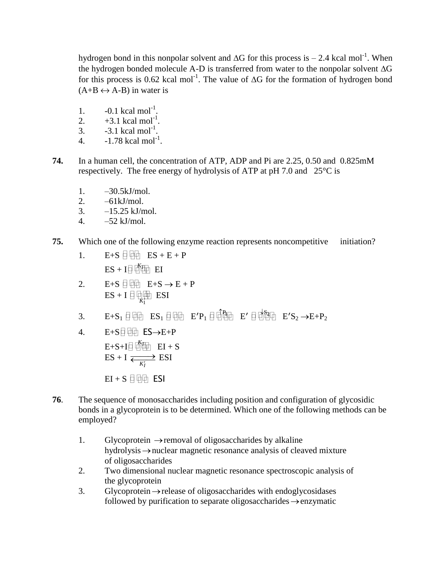hydrogen bond in this nonpolar solvent and  $\Delta G$  for this process is  $- 2.4$  kcal mol<sup>-1</sup>. When the hydrogen bonded molecule A-D is transferred from water to the nonpolar solvent  $\Delta G$ for this process is 0.62 kcal mol<sup>-1</sup>. The value of  $\Delta G$  for the formation of hydrogen bond  $(A+B \leftrightarrow A-B)$  in water is

- 1.  $-0.1 \text{ kcal mol}^{-1}$ .
- 2.  $+3.1 \text{ kcal mol}^{-1}$ .
- 3.  $-3.1 \text{ kcal mol}^{-1}$ .
- 4.  $-1.78$  kcal mol<sup>-1</sup>.
- **74.** In a human cell, the concentration of ATP, ADP and Pi are 2.25, 0.50 and 0.825mM respectively. The free energy of hydrolysis of ATP at pH 7.0 and 25°C is
	- 1. –30.5kJ/mol.
	- 2.  $-61kJ/mol$ .
	- 3.  $-15.25$  kJ/mol.
	- 4.  $-52$  kJ/mol.
- **75.** Which one of the following enzyme reaction represents noncompetitive initiation?
	- 1.  $E+S \quad \Box \quad \Box \quad ES + E + P$  $ES + I \Box \Box K$  EI
	- 2.  $E+S \Box \Box E+S \rightarrow E+P$  $ES + I \n\bigoplus_{K_1^+} \text{ESI}$
	- 3.  $E+S_1 \text{ }\overline{\text{}}$   $E/S_1 \text{ }\overline{\text{}}$   $E/P_1 \text{ }\overline{\text{}}$   $\overline{\text{}}\overline{\text{}}\overline{\text{}}\overline{\text{}}\overline{\text{}}\overline{\text{}}$   $E' \text{ }\overline{\text{}}\overline{\text{}}\overline{\text{}}\overline{\text{}}\overline{\text{}}\overline{\text{}}\overline{\text{}}$   $E'S_2 \rightarrow E+P_2$
	- 4.  $E+S \Box \Box \Box E$   $ES \rightarrow E+P$

 $E + S + I \Box \Box K$ **EI** + S  $ES + I$  $\overrightarrow{K_I}$  ESI

 $EI + S \Box \Box \Box$  ESI

- **76**. The sequence of monosaccharides including position and configuration of glycosidic bonds in a glycoprotein is to be determined. Which one of the following methods can be employed?
	- 1. Glycoprotein  $\rightarrow$  removal of oligosaccharides by alkaline hydrolysis  $\rightarrow$  nuclear magnetic resonance analysis of cleaved mixture of oligosaccharides
	- 2. Two dimensional nuclear magnetic resonance spectroscopic analysis of the glycoprotein
	- 3. Glycoprotein  $\rightarrow$  release of oligosaccharides with endoglycosidases followed by purification to separate oligosaccharides  $\rightarrow$  enzymatic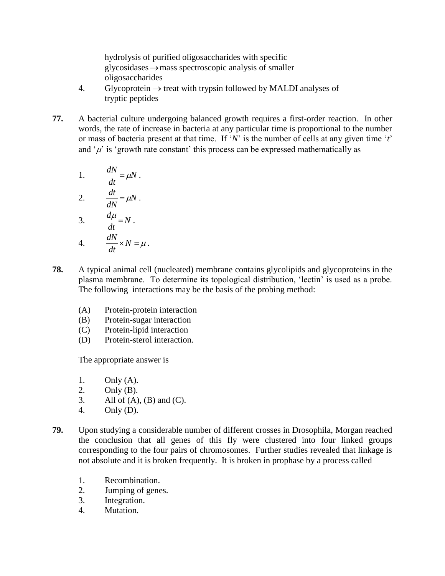hydrolysis of purified oligosaccharides with specific glycosidases mass spectroscopic analysis of smaller oligosaccharides

- 4. Glycoprotein  $\rightarrow$  treat with trypsin followed by MALDI analyses of tryptic peptides
- **77.** A bacterial culture undergoing balanced growth requires a first-order reaction. In other words, the rate of increase in bacteria at any particular time is proportional to the number or mass of bacteria present at that time. If "*N*" is the number of cells at any given time "*t*" and  $\mu$  is 'growth rate constant' this process can be expressed mathematically as

1. 
$$
\frac{dN}{dt} = \mu N.
$$
  
2. 
$$
\frac{dt}{dN} = \mu N.
$$
  
3. 
$$
\frac{d\mu}{dt} = N.
$$
  
4. 
$$
\frac{dN}{dt} \times N = \mu.
$$

- **78.** A typical animal cell (nucleated) membrane contains glycolipids and glycoproteins in the plasma membrane. To determine its topological distribution, 'lectin' is used as a probe. The following interactions may be the basis of the probing method:
	- (A) Protein-protein interaction
	- (B) Protein-sugar interaction
	- (C) Protein-lipid interaction
	- (D) Protein-sterol interaction.

The appropriate answer is

- 1. Only (A).
- 2. Only (B).
- 3. All of  $(A)$ ,  $(B)$  and  $(C)$ .
- 4. Only (D).
- **79.** Upon studying a considerable number of different crosses in Drosophila, Morgan reached the conclusion that all genes of this fly were clustered into four linked groups corresponding to the four pairs of chromosomes. Further studies revealed that linkage is not absolute and it is broken frequently. It is broken in prophase by a process called
	- 1. Recombination.
	- 2. Jumping of genes.
	- 3. Integration.
	- 4. Mutation.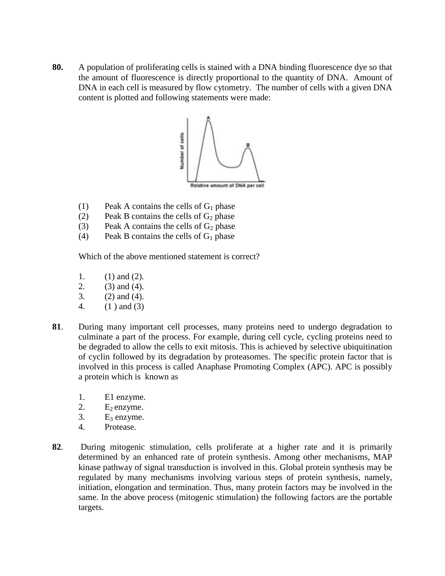**80.** A population of proliferating cells is stained with a DNA binding fluorescence dye so that the amount of fluorescence is directly proportional to the quantity of DNA. Amount of DNA in each cell is measured by flow cytometry. The number of cells with a given DNA content is plotted and following statements were made:



- (1) Peak A contains the cells of  $G_1$  phase
- (2) Peak B contains the cells of  $G_2$  phase
- (3) Peak A contains the cells of  $G_2$  phase
- (4) Peak B contains the cells of  $G_1$  phase

Which of the above mentioned statement is correct?

- 1. (1) and (2).
- 2. (3) and (4).
- 3. (2) and (4).
- 4. (1 ) and (3)
- **81**. During many important cell processes, many proteins need to undergo degradation to culminate a part of the process. For example, during cell cycle, cycling proteins need to be degraded to allow the cells to exit mitosis. This is achieved by selective ubiquitination of cyclin followed by its degradation by proteasomes. The specific protein factor that is involved in this process is called Anaphase Promoting Complex (APC). APC is possibly a protein which is known as
	- 1. E1 enzyme.
	- 2.  $E_2$  enzyme.
	- 3.  $E_3$  enzyme.
	- 4. Protease.
- **82**. During mitogenic stimulation, cells proliferate at a higher rate and it is primarily determined by an enhanced rate of protein synthesis. Among other mechanisms, MAP kinase pathway of signal transduction is involved in this. Global protein synthesis may be regulated by many mechanisms involving various steps of protein synthesis, namely, initiation, elongation and termination. Thus, many protein factors may be involved in the same. In the above process (mitogenic stimulation) the following factors are the portable targets.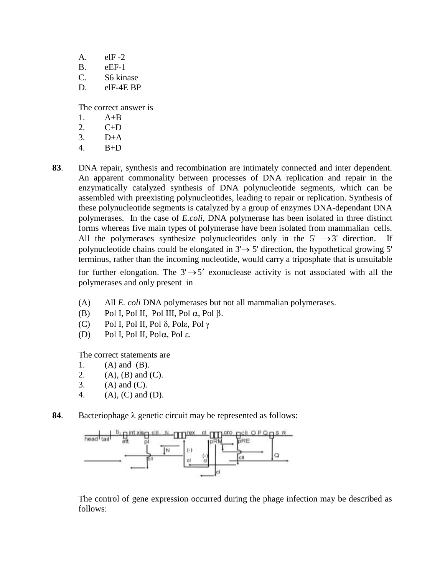$A.$  elF-2

- B. eEF-1
- C. S6 kinase
- D. elF-4E BP

The correct answer is

- 1.  $A+B$
- 2. C+D
- 3. D+A
- 4. B+D
- **83**. DNA repair, synthesis and recombination are intimately connected and inter dependent. An apparent commonality between processes of DNA replication and repair in the enzymatically catalyzed synthesis of DNA polynucleotide segments, which can be assembled with preexisting polynucleotides, leading to repair or replication. Synthesis of these polynucleotide segments is catalyzed by a group of enzymes DNA-dependant DNA polymerases. In the case of *E.coli*, DNA polymerase has been isolated in three distinct forms whereas five main types of polymerase have been isolated from mammalian cells. All the polymerases synthesize polynucleotides only in the  $5' \rightarrow 3'$  direction. If polynucleotide chains could be elongated in  $3' \rightarrow 5'$  direction, the hypothetical growing 5' terminus, rather than the incoming nucleotide, would carry a triposphate that is unsuitable

for further elongation. The  $3' \rightarrow 5'$  exonuclease activity is not associated with all the polymerases and only present in

- (A) All *E. coli* DNA polymerases but not all mammalian polymerases.
- (B) Pol I, Pol II, Pol III, Pol  $\alpha$ , Pol  $\beta$ .
- (C) Pol I, Pol II, Pol  $\delta$ , Pol $\varepsilon$ , Pol  $\gamma$
- (D) Pol I, Pol II, Pol $\alpha$ , Pol  $\varepsilon$ .

The correct statements are

- 1. (A) and (B).
- 2. (A), (B) and (C).
- 3.  $(A)$  and  $(C)$ .
- 4. (A), (C) and (D).
- **84.** Bacteriophage  $\lambda$  genetic circuit may be represented as follows:



The control of gene expression occurred during the phage infection may be described as follows: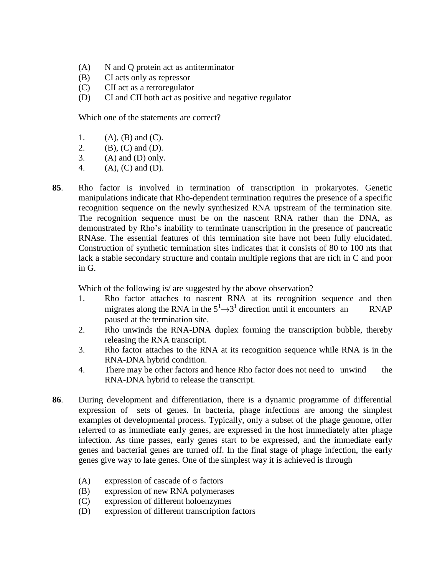- (A) N and Q protein act as antiterminator
- (B) CI acts only as repressor
- (C) CII act as a retroregulator
- (D) CI and CII both act as positive and negative regulator

Which one of the statements are correct?

- 1.  $(A), (B)$  and  $(C)$ .
- 2. (B), (C) and (D).
- 3.  $(A)$  and  $(D)$  only.
- 4. (A), (C) and (D).
- **85**. Rho factor is involved in termination of transcription in prokaryotes. Genetic manipulations indicate that Rho-dependent termination requires the presence of a specific recognition sequence on the newly synthesized RNA upstream of the termination site. The recognition sequence must be on the nascent RNA rather than the DNA, as demonstrated by Rho"s inability to terminate transcription in the presence of pancreatic RNAse. The essential features of this termination site have not been fully elucidated. Construction of synthetic termination sites indicates that it consists of 80 to 100 nts that lack a stable secondary structure and contain multiple regions that are rich in C and poor in G.

Which of the following is/ are suggested by the above observation?

- 1. Rho factor attaches to nascent RNA at its recognition sequence and then migrates along the RNA in the  $5^{1} \rightarrow 3^{1}$  direction until it encounters an RNAP paused at the termination site.
- 2. Rho unwinds the RNA-DNA duplex forming the transcription bubble, thereby releasing the RNA transcript.
- 3. Rho factor attaches to the RNA at its recognition sequence while RNA is in the RNA-DNA hybrid condition.
- 4. There may be other factors and hence Rho factor does not need to unwind the RNA-DNA hybrid to release the transcript.
- **86**. During development and differentiation, there is a dynamic programme of differential expression of sets of genes. In bacteria, phage infections are among the simplest examples of developmental process. Typically, only a subset of the phage genome, offer referred to as immediate early genes, are expressed in the host immediately after phage infection. As time passes, early genes start to be expressed, and the immediate early genes and bacterial genes are turned off. In the final stage of phage infection, the early genes give way to late genes. One of the simplest way it is achieved is through
	- (A) expression of cascade of  $\sigma$  factors
	- (B) expression of new RNA polymerases
	- (C) expression of different holoenzymes
	- (D) expression of different transcription factors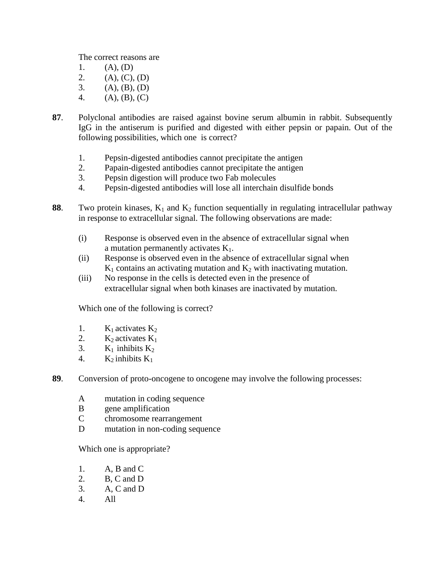The correct reasons are

- 1.  $(A), (D)$ 2.  $(A), (C), (D)$
- 3.  $(A), (B), (D)$
- 4. (A), (B), (C)
- **87**. Polyclonal antibodies are raised against bovine serum albumin in rabbit. Subsequently IgG in the antiserum is purified and digested with either pepsin or papain. Out of the following possibilities, which one is correct?
	- 1. Pepsin-digested antibodies cannot precipitate the antigen
	- 2. Papain-digested antibodies cannot precipitate the antigen
	- 3. Pepsin digestion will produce two Fab molecules
	- 4. Pepsin-digested antibodies will lose all interchain disulfide bonds
- **88.** Two protein kinases,  $K_1$  and  $K_2$  function sequentially in regulating intracellular pathway in response to extracellular signal. The following observations are made:
	- (i) Response is observed even in the absence of extracellular signal when a mutation permanently activates  $K_1$ .
	- (ii) Response is observed even in the absence of extracellular signal when  $K_1$  contains an activating mutation and  $K_2$  with inactivating mutation.
	- (iii) No response in the cells is detected even in the presence of extracellular signal when both kinases are inactivated by mutation.

Which one of the following is correct?

- 1.  $K_1$  activates  $K_2$
- 2.  $K_2$  activates  $K_1$
- 3.  $K_1$  inhibits  $K_2$
- 4.  $K_2$  inhibits  $K_1$
- **89**. Conversion of proto-oncogene to oncogene may involve the following processes:
	- A mutation in coding sequence
	- B gene amplification
	- C chromosome rearrangement
	- D mutation in non-coding sequence

Which one is appropriate?

- 1. A, B and C
- 2. B, C and D
- 3. A, C and D
- 4. All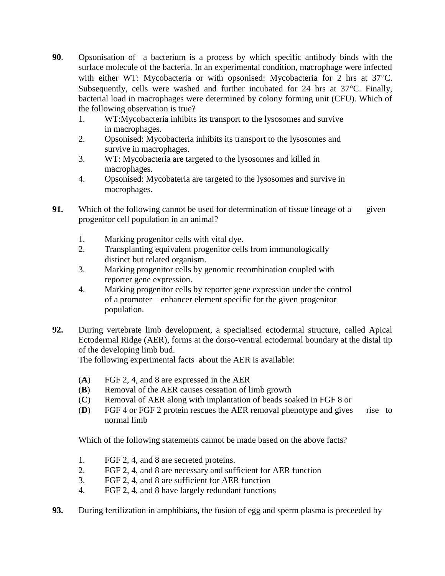- **90**. Opsonisation of a bacterium is a process by which specific antibody binds with the surface molecule of the bacteria. In an experimental condition, macrophage were infected with either WT: Mycobacteria or with opsonised: Mycobacteria for 2 hrs at 37°C. Subsequently, cells were washed and further incubated for  $24$  hrs at  $37^{\circ}$ C. Finally, bacterial load in macrophages were determined by colony forming unit (CFU). Which of the following observation is true?
	- 1. WT:Mycobacteria inhibits its transport to the lysosomes and survive in macrophages.
	- 2. Opsonised: Mycobacteria inhibits its transport to the lysosomes and survive in macrophages.
	- 3. WT: Mycobacteria are targeted to the lysosomes and killed in macrophages.
	- 4. Opsonised: Mycobateria are targeted to the lysosomes and survive in macrophages.
- **91.** Which of the following cannot be used for determination of tissue lineage of a given progenitor cell population in an animal?
	- 1. Marking progenitor cells with vital dye.
	- 2. Transplanting equivalent progenitor cells from immunologically distinct but related organism.
	- 3. Marking progenitor cells by genomic recombination coupled with reporter gene expression.
	- 4. Marking progenitor cells by reporter gene expression under the control of a promoter – enhancer element specific for the given progenitor population.
- **92.** During vertebrate limb development, a specialised ectodermal structure, called Apical Ectodermal Ridge (AER), forms at the dorso-ventral ectodermal boundary at the distal tip of the developing limb bud.

The following experimental facts about the AER is available:

- (**A**) FGF 2, 4, and 8 are expressed in the AER
- (**B**) Removal of the AER causes cessation of limb growth
- (**C**) Removal of AER along with implantation of beads soaked in FGF 8 or
- (**D**) FGF 4 or FGF 2 protein rescues the AER removal phenotype and gives rise to normal limb

Which of the following statements cannot be made based on the above facts?

- 1. FGF 2, 4, and 8 are secreted proteins.
- 2. FGF 2, 4, and 8 are necessary and sufficient for AER function
- 3. FGF 2, 4, and 8 are sufficient for AER function
- 4. FGF 2, 4, and 8 have largely redundant functions
- **93.** During fertilization in amphibians, the fusion of egg and sperm plasma is preceeded by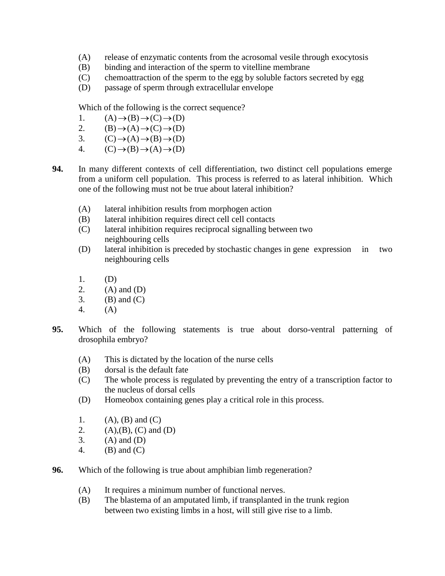- (A) release of enzymatic contents from the acrosomal vesile through exocytosis
- (B) binding and interaction of the sperm to vitelline membrane
- (C) chemoattraction of the sperm to the egg by soluble factors secreted by egg
- (D) passage of sperm through extracellular envelope

Which of the following is the correct sequence?

- 1.  $(A) \rightarrow (B) \rightarrow (C) \rightarrow (D)$
- 2.  $(B) \rightarrow (A) \rightarrow (C) \rightarrow (D)$
- 3.  $(C) \rightarrow (A) \rightarrow (B) \rightarrow (D)$
- 4.  $(C) \rightarrow (B) \rightarrow (A) \rightarrow (D)$
- **94.** In many different contexts of cell differentiation, two distinct cell populations emerge from a uniform cell population. This process is referred to as lateral inhibition. Which one of the following must not be true about lateral inhibition?
	- (A) lateral inhibition results from morphogen action
	- (B) lateral inhibition requires direct cell cell contacts
	- (C) lateral inhibition requires reciprocal signalling between two neighbouring cells
	- (D) lateral inhibition is preceded by stochastic changes in gene expression in two neighbouring cells
	- 1. (D)
	- 2.  $(A)$  and  $(D)$
	- 3. (B) and  $(C)$
	- 4. (A)
- **95.** Which of the following statements is true about dorso-ventral patterning of drosophila embryo?
	- (A) This is dictated by the location of the nurse cells
	- (B) dorsal is the default fate
	- (C) The whole process is regulated by preventing the entry of a transcription factor to the nucleus of dorsal cells
	- (D) Homeobox containing genes play a critical role in this process.
	- 1.  $(A), (B)$  and  $(C)$
	- 2. (A),(B), (C) and (D)
	- $3.$  (A) and (D)
	- 4. (B) and (C)
- **96.** Which of the following is true about amphibian limb regeneration?
	- (A) It requires a minimum number of functional nerves.
	- (B) The blastema of an amputated limb, if transplanted in the trunk region between two existing limbs in a host, will still give rise to a limb.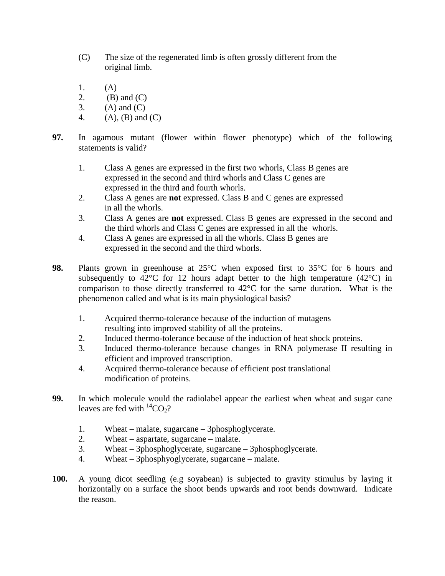- (C) The size of the regenerated limb is often grossly different from the original limb.
- 1. (A)
- 2. (B) and  $(C)$
- 3. (A) and  $(C)$
- 4. (A), (B) and (C)
- **97.** In agamous mutant (flower within flower phenotype) which of the following statements is valid?
	- 1. Class A genes are expressed in the first two whorls, Class B genes are expressed in the second and third whorls and Class C genes are expressed in the third and fourth whorls.
	- 2. Class A genes are **not** expressed. Class B and C genes are expressed in all the whorls.
	- 3. Class A genes are **not** expressed. Class B genes are expressed in the second and the third whorls and Class C genes are expressed in all the whorls.
	- 4. Class A genes are expressed in all the whorls. Class B genes are expressed in the second and the third whorls.
- **98.** Plants grown in greenhouse at 25°C when exposed first to 35°C for 6 hours and subsequently to  $42^{\circ}$ C for 12 hours adapt better to the high temperature (42 $^{\circ}$ C) in comparison to those directly transferred to 42°C for the same duration. What is the phenomenon called and what is its main physiological basis?
	- 1. Acquired thermo-tolerance because of the induction of mutagens resulting into improved stability of all the proteins.
	- 2. Induced thermo-tolerance because of the induction of heat shock proteins.
	- 3. Induced thermo-tolerance because changes in RNA polymerase II resulting in efficient and improved transcription.
	- 4. Acquired thermo-tolerance because of efficient post translational modification of proteins.
- **99.** In which molecule would the radiolabel appear the earliest when wheat and sugar cane leaves are fed with  ${}^{14}CO_2$ ?
	- 1. Wheat malate, sugarcane 3phosphoglycerate.
	- 2. Wheat aspartate, sugarcane malate.
	- 3. Wheat 3phosphoglycerate, sugarcane 3phosphoglycerate.
	- 4. Wheat 3phosphyoglycerate, sugarcane malate.
- **100.** A young dicot seedling (e.g soyabean) is subjected to gravity stimulus by laying it horizontally on a surface the shoot bends upwards and root bends downward. Indicate the reason.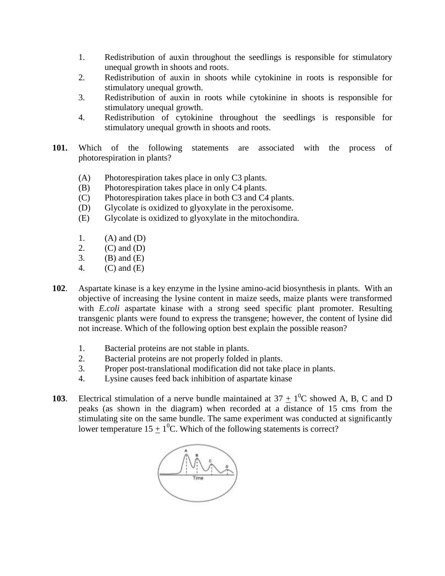- 1. Redistribution of auxin throughout the seedlings is responsible for stimulatory unequal growth in shoots and roots.
- 2. Redistribution of auxin in shoots while cytokinine in roots is responsible for stimulatory unequal growth.
- 3. Redistribution of auxin in roots while cytokinine in shoots is responsible for stimulatory unequal growth.
- 4. Redistribution of cytokinine throughout the seedlings is responsible for stimulatory unequal growth in shoots and roots.
- **101.** Which of the following statements are associated with the process of photorespiration in plants?
	- (A) Photorespiration takes place in only C3 plants.
	- (B) Photorespiration takes place in only C4 plants.
	- (C) Photorespiration takes place in both C3 and C4 plants.
	- (D) Glycolate is oxidized to glyoxylate in the peroxisome.
	- (E) Glycolate is oxidized to glyoxylate in the mitochondira.
	- 1.  $(A)$  and  $(D)$
	- 2.  $(C)$  and  $(D)$
	- 3. (B) and  $(E)$
	- 4. (C) and (E)
- **102**. Aspartate kinase is a key enzyme in the lysine amino-acid biosynthesis in plants. With an objective of increasing the lysine content in maize seeds, maize plants were transformed with *E.coli* aspartate kinase with a strong seed specific plant promoter. Resulting transgenic plants were found to express the transgene; however, the content of lysine did not increase. Which of the following option best explain the possible reason?
	- 1. Bacterial proteins are not stable in plants.
	- 2. Bacterial proteins are not properly folded in plants.
	- 3. Proper post-translational modification did not take place in plants.
	- 4. Lysine causes feed back inhibition of aspartate kinase
- **103**. Electrical stimulation of a nerve bundle maintained at  $37 \pm 1^0C$  showed A, B, C and D peaks (as shown in the diagram) when recorded at a distance of 15 cms from the stimulating site on the same bundle. The same experiment was conducted at significantly lower temperature 15  $\pm$  1<sup>0</sup>C. Which of the following statements is correct?

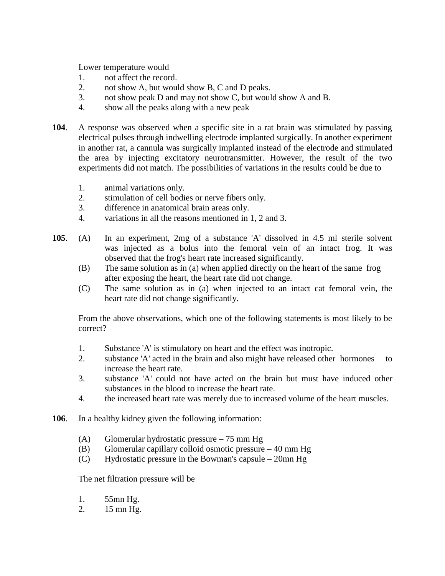Lower temperature would

- 1. not affect the record.
- 2. not show A, but would show B, C and D peaks.
- 3. not show peak D and may not show C, but would show A and B.
- 4. show all the peaks along with a new peak
- **104**. A response was observed when a specific site in a rat brain was stimulated by passing electrical pulses through indwelling electrode implanted surgically. In another experiment in another rat, a cannula was surgically implanted instead of the electrode and stimulated the area by injecting excitatory neurotransmitter. However, the result of the two experiments did not match. The possibilities of variations in the results could be due to
	- 1. animal variations only.
	- 2. stimulation of cell bodies or nerve fibers only.
	- 3. difference in anatomical brain areas only.
	- 4. variations in all the reasons mentioned in 1, 2 and 3.
- **105**. (A) In an experiment, 2mg of a substance 'A' dissolved in 4.5 ml sterile solvent was injected as a bolus into the femoral vein of an intact frog. It was observed that the frog's heart rate increased significantly.
	- (B) The same solution as in (a) when applied directly on the heart of the same frog after exposing the heart, the heart rate did not change.
	- (C) The same solution as in (a) when injected to an intact cat femoral vein, the heart rate did not change significantly.

From the above observations, which one of the following statements is most likely to be correct?

- 1. Substance 'A' is stimulatory on heart and the effect was inotropic.
- 2. substance 'A' acted in the brain and also might have released other hormones to increase the heart rate.
- 3. substance 'A' could not have acted on the brain but must have induced other substances in the blood to increase the heart rate.
- 4. the increased heart rate was merely due to increased volume of the heart muscles.
- **106**. In a healthy kidney given the following information:
	- (A) Glomerular hydrostatic pressure 75 mm Hg
	- (B) Glomerular capillary colloid osmotic pressure 40 mm Hg
	- (C) Hydrostatic pressure in the Bowman's capsule 20mn Hg

The net filtration pressure will be

- 1. 55mn Hg.
- 2. 15 mn Hg.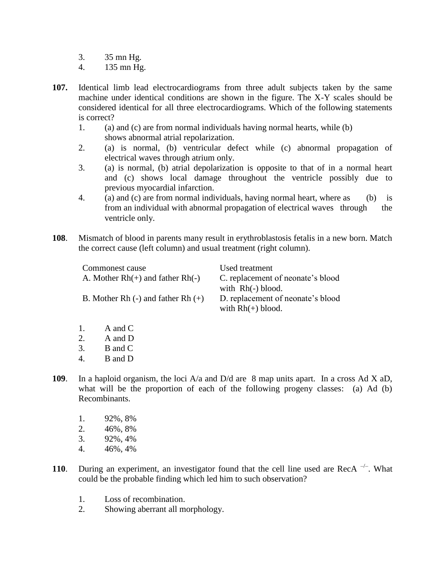- 3. 35 mn Hg.
- 4. 135 mn Hg.
- **107.** Identical limb lead electrocardiograms from three adult subjects taken by the same machine under identical conditions are shown in the figure. The X-Y scales should be considered identical for all three electrocardiograms. Which of the following statements is correct?
	- 1. (a) and (c) are from normal individuals having normal hearts, while (b) shows abnormal atrial repolarization.
	- 2. (a) is normal, (b) ventricular defect while (c) abnormal propagation of electrical waves through atrium only.
	- 3. (a) is normal, (b) atrial depolarization is opposite to that of in a normal heart and (c) shows local damage throughout the ventricle possibly due to previous myocardial infarction.
	- 4. (a) and (c) are from normal individuals, having normal heart, where as (b) is from an individual with abnormal propagation of electrical waves through the ventricle only.
- **108**. Mismatch of blood in parents many result in erythroblastosis fetalis in a new born. Match the correct cause (left column) and usual treatment (right column).

| Commonest cause                        | Used treatment                    |
|----------------------------------------|-----------------------------------|
| A. Mother $Rh(+)$ and father $Rh(-)$   | C. replacement of neonate's blood |
|                                        | with $Rh(-)$ blood.               |
| B. Mother Rh $(-)$ and father Rh $(+)$ | D. replacement of neonate's blood |
|                                        | with $Rh(+)$ blood.               |

- 1. A and C
- 2. A and D
- 3. B and C
- 4. B and D
- **109**. In a haploid organism, the loci A/a and D/d are 8 map units apart. In a cross Ad X aD, what will be the proportion of each of the following progeny classes: (a) Ad (b) Recombinants.
	- 1. 92%, 8%
	- 2. 46%, 8%
	- 3. 92%, 4%
	- 4. 46%, 4%
- **110.** During an experiment, an investigator found that the cell line used are RecA  $^{-/-}$ . What could be the probable finding which led him to such observation?
	- 1. Loss of recombination.
	- 2. Showing aberrant all morphology.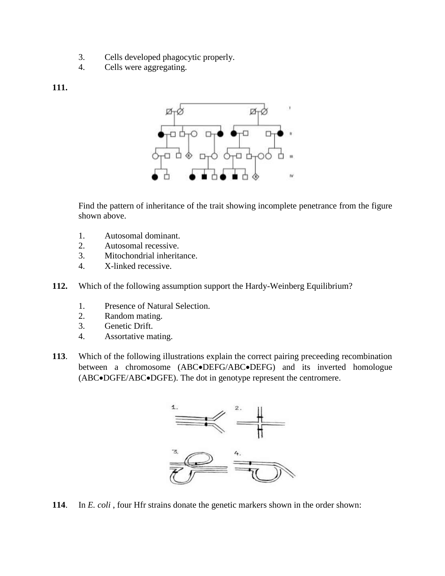- 3. Cells developed phagocytic properly.
- 4. Cells were aggregating.

#### **111.**



Find the pattern of inheritance of the trait showing incomplete penetrance from the figure shown above.

- 1. Autosomal dominant.
- 2. Autosomal recessive.
- 3. Mitochondrial inheritance.
- 4. X-linked recessive.
- **112.** Which of the following assumption support the Hardy-Weinberg Equilibrium?
	- 1. Presence of Natural Selection.
	- 2. Random mating.
	- 3. Genetic Drift.
	- 4. Assortative mating.
- **113**. Which of the following illustrations explain the correct pairing preceeding recombination between a chromosome (ABC $\bullet$ DEFG/ABC $\bullet$ DEFG) and its inverted homologue (ABC $\bullet$ DGFE/ABC $\bullet$ DGFE). The dot in genotype represent the centromere.



**114**. In *E. coli* , four Hfr strains donate the genetic markers shown in the order shown: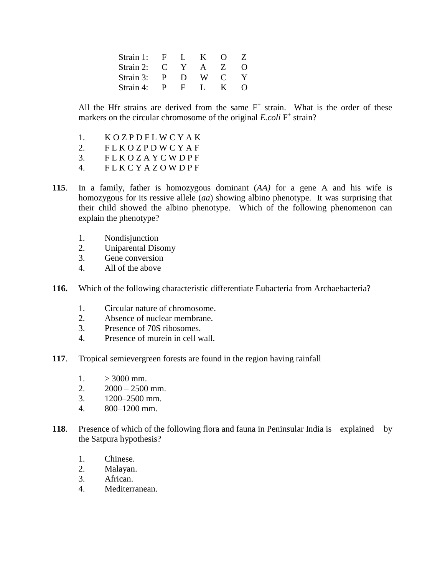| Strain 1: | . F.         |              | к.           | $\left( \right)$ |                   |
|-----------|--------------|--------------|--------------|------------------|-------------------|
| Strain 2: | $\mathbf C$  |              |              | Z                | $\mathbf{\Omega}$ |
| Strain 3: | $\mathbf{p}$ | $\mathbf{D}$ | W.           | $\mathbf{C}$     |                   |
| Strain 4: | P            | - H -        | $\mathbf{L}$ | к.               | $\left( \right)$  |

All the Hfr strains are derived from the same  $F^+$  strain. What is the order of these markers on the circular chromosome of the original *E.coli* F<sup>+</sup> strain?

- 1. K O Z P D F L W C Y A K
- 2. FLKOZPDWCYAF
- 3. F L K O Z A Y C W D P F
- 4. F L K C Y A Z O W D P F
- **115**. In a family, father is homozygous dominant (*AA)* for a gene A and his wife is homozygous for its ressive allele (*aa*) showing albino phenotype. It was surprising that their child showed the albino phenotype. Which of the following phenomenon can explain the phenotype?
	- 1. Nondisjunction
	- 2. Uniparental Disomy
	- 3. Gene conversion
	- 4. All of the above
- **116.** Which of the following characteristic differentiate Eubacteria from Archaebacteria?
	- 1. Circular nature of chromosome.
	- 2. Absence of nuclear membrane.
	- 3. Presence of 70S ribosomes.
	- 4. Presence of murein in cell wall.
- **117**. Tropical semievergreen forests are found in the region having rainfall
	- $1.$   $> 3000$  mm.
	- 2.  $2000 2500$  mm.
	- 3. 1200–2500 mm.
	- 4. 800–1200 mm.
- **118**. Presence of which of the following flora and fauna in Peninsular India is explained by the Satpura hypothesis?
	- 1. Chinese.
	- 2. Malayan.
	- 3. African.
	- 4. Mediterranean.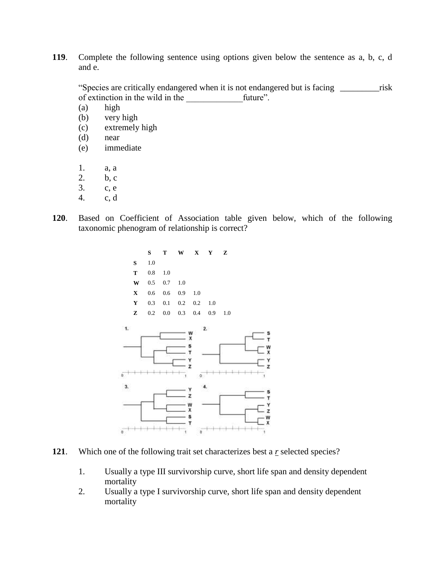**119**. Complete the following sentence using options given below the sentence as a, b, c, d and e.

"Species are critically endangered when it is not endangered but is facing \_\_\_\_\_\_\_\_\_risk of extinction in the wild in the future".

(a) high

- (b) very high
- (c) extremely high
- (d) near
- (e) immediate
- 1. a, a
- 2. b, c
- 3. c, e
- 4. c, d
- **120**. Based on Coefficient of Association table given below, which of the following taxonomic phenogram of relationship is correct?



- **121**. Which one of the following trait set characterizes best a *r* selected species?
	- 1. Usually a type III survivorship curve, short life span and density dependent mortality
	- 2. Usually a type I survivorship curve, short life span and density dependent mortality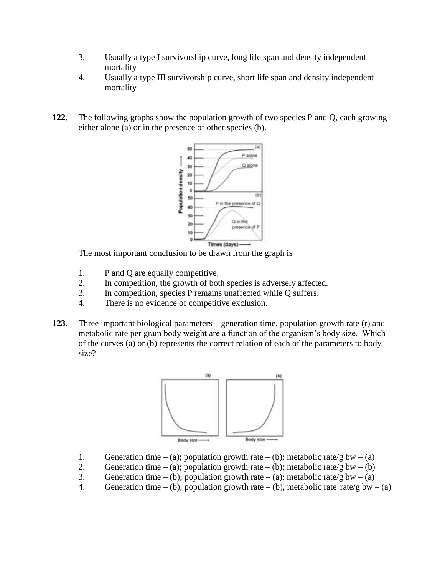- 3. Usually a type I survivorship curve, long life span and density independent mortality
- 4. Usually a type III survivorship curve, short life span and density independent mortality
- **122**. The following graphs show the population growth of two species P and Q, each growing either alone (a) or in the presence of other species (b).



The most important conclusion to be drawn from the graph is

- 1. P and Q are equally competitive.
- 2. In competition, the growth of both species is adversely affected.
- 3. In competition, species P remains unaffected while Q suffers.
- 4. There is no evidence of competitive exclusion.
- **123**. Three important biological parameters generation time, population growth rate (r) and metabolic rate per gram body weight are a function of the organism"s body size. Which of the curves (a) or (b) represents the correct relation of each of the parameters to body size?



- 1. Generation time (a); population growth rate (b); metabolic rate/g bw (a)
- 2. Generation time (a); population growth rate (b); metabolic rate/g bw (b)
- 3. Generation time (b); population growth rate (a); metabolic rate/g bw (a)
- 4. Generation time (b); population growth rate (b), metabolic rate rate/g bw (a)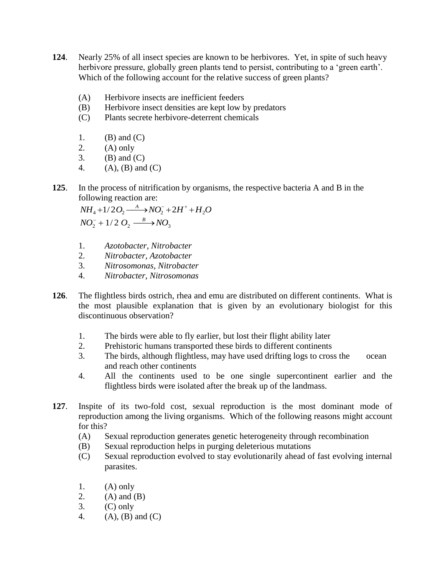- **124**. Nearly 25% of all insect species are known to be herbivores. Yet, in spite of such heavy herbivore pressure, globally green plants tend to persist, contributing to a 'green earth'. Which of the following account for the relative success of green plants?
	- (A) Herbivore insects are inefficient feeders
	- (B) Herbivore insect densities are kept low by predators
	- (C) Plants secrete herbivore-deterrent chemicals
	- 1.  $(B)$  and  $(C)$
	- 2.  $(A)$  only
	- $3.$  (B) and (C)
	- 4. (A), (B) and (C)
- **125**. In the process of nitrification by organisms, the respective bacteria A and B in the following reaction are:

 $NH_4 + 1/2O_2 \xrightarrow{A} NO_2^- + 2H^+ + H_2O$  $NO_2^-$  + 1/2  $O_2 \xrightarrow{B} NO_3$ 

- 1. *Azotobacter, Nitrobacter*
- 2. *Nitrobacter, Azotobacter*
- 3. *Nitrosomonas*, *Nitrobacter*
- 4. *Nitrobacter*, *Nitrosomonas*
- **126**. The flightless birds ostrich, rhea and emu are distributed on different continents. What is the most plausible explanation that is given by an evolutionary biologist for this discontinuous observation?
	- 1. The birds were able to fly earlier, but lost their flight ability later
	- 2. Prehistoric humans transported these birds to different continents
	- 3. The birds, although flightless, may have used drifting logs to cross the ocean and reach other continents
	- 4. All the continents used to be one single supercontinent earlier and the flightless birds were isolated after the break up of the landmass.
- **127**. Inspite of its two-fold cost, sexual reproduction is the most dominant mode of reproduction among the living organisms. Which of the following reasons might account for this?
	- (A) Sexual reproduction generates genetic heterogeneity through recombination
	- (B) Sexual reproduction helps in purging deleterious mutations
	- (C) Sexual reproduction evolved to stay evolutionarily ahead of fast evolving internal parasites.
	- 1.  $(A)$  only
	- 2.  $(A)$  and  $(B)$
	- $3.$  (C) only
	- 4.  $(A), (B)$  and  $(C)$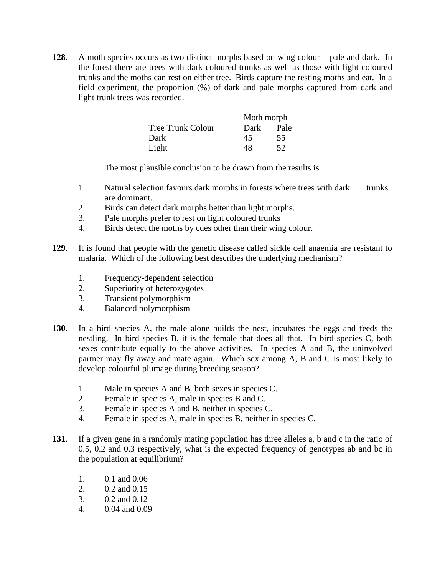**128**. A moth species occurs as two distinct morphs based on wing colour – pale and dark. In the forest there are trees with dark coloured trunks as well as those with light coloured trunks and the moths can rest on either tree. Birds capture the resting moths and eat. In a field experiment, the proportion (%) of dark and pale morphs captured from dark and light trunk trees was recorded.

|                          | Moth morph |      |
|--------------------------|------------|------|
| <b>Tree Trunk Colour</b> | Dark       | Pale |
| Dark                     | 45         | 55   |
| Light                    | 48         | 52   |

The most plausible conclusion to be drawn from the results is

- 1. Natural selection favours dark morphs in forests where trees with dark trunks are dominant.
- 2. Birds can detect dark morphs better than light morphs.
- 3. Pale morphs prefer to rest on light coloured trunks
- 4. Birds detect the moths by cues other than their wing colour.
- **129**. It is found that people with the genetic disease called sickle cell anaemia are resistant to malaria. Which of the following best describes the underlying mechanism?
	- 1. Frequency-dependent selection
	- 2. Superiority of heterozygotes
	- 3. Transient polymorphism
	- 4. Balanced polymorphism
- **130**. In a bird species A, the male alone builds the nest, incubates the eggs and feeds the nestling. In bird species B, it is the female that does all that. In bird species C, both sexes contribute equally to the above activities. In species A and B, the uninvolved partner may fly away and mate again. Which sex among A, B and C is most likely to develop colourful plumage during breeding season?
	- 1. Male in species A and B, both sexes in species C.
	- 2. Female in species A, male in species B and C.
	- 3. Female in species A and B, neither in species C.
	- 4. Female in species A, male in species B, neither in species C.
- **131**. If a given gene in a randomly mating population has three alleles a, b and c in the ratio of 0.5, 0.2 and 0.3 respectively, what is the expected frequency of genotypes ab and bc in the population at equilibrium?
	- 1. 0.1 and 0.06
	- 2. 0.2 and 0.15
	- 3. 0.2 and 0.12
	- 4. 0.04 and 0.09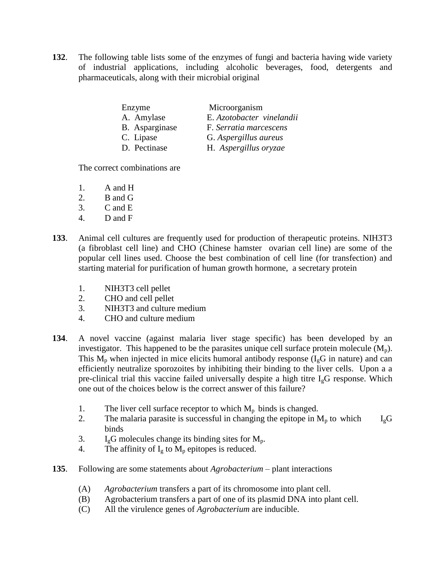**132**. The following table lists some of the enzymes of fungi and bacteria having wide variety of industrial applications, including alcoholic beverages, food, detergents and pharmaceuticals, along with their microbial original

| Enzyme         | Microorganism             |
|----------------|---------------------------|
| A. Amylase     | E. Azotobacter vinelandii |
| B. Asparginase | F. Serratia marcescens    |
| C. Lipase      | G. Aspergillus aureus     |
| D. Pectinase   | H. Aspergillus oryzae     |

The correct combinations are

- 1. A and H
- 2. B and G
- 3. C and E
- 4. D and F
- **133**. Animal cell cultures are frequently used for production of therapeutic proteins. NIH3T3 (a fibroblast cell line) and CHO (Chinese hamster ovarian cell line) are some of the popular cell lines used. Choose the best combination of cell line (for transfection) and starting material for purification of human growth hormone, a secretary protein
	- 1. NIH3T3 cell pellet
	- 2. CHO and cell pellet
	- 3. NIH3T3 and culture medium
	- 4. CHO and culture medium
- **134**. A novel vaccine (against malaria liver stage specific) has been developed by an investigator. This happened to be the parasites unique cell surface protein molecule  $(M_n)$ . This  $M_p$  when injected in mice elicits humoral antibody response  $(I_qG)$  in nature) and can efficiently neutralize sporozoites by inhibiting their binding to the liver cells. Upon a a pre-clinical trial this vaccine failed universally despite a high titre  $I_{g}G$  response. Which one out of the choices below is the correct answer of this failure?
	- 1. The liver cell surface receptor to which  $M_p$  binds is changed.
	- 2. The malaria parasite is successful in changing the epitope in  $M_p$  to which  $I_g$ G binds
	- 3.  $I_g$ G molecules change its binding sites for  $M_p$ .
	- 4. The affinity of  $I_g$  to  $M_p$  epitopes is reduced.
- **135**. Following are some statements about *Agrobacterium* plant interactions
	- (A) *Agrobacterium* transfers a part of its chromosome into plant cell.
	- (B) Agrobacterium transfers a part of one of its plasmid DNA into plant cell.
	- (C) All the virulence genes of *Agrobacterium* are inducible.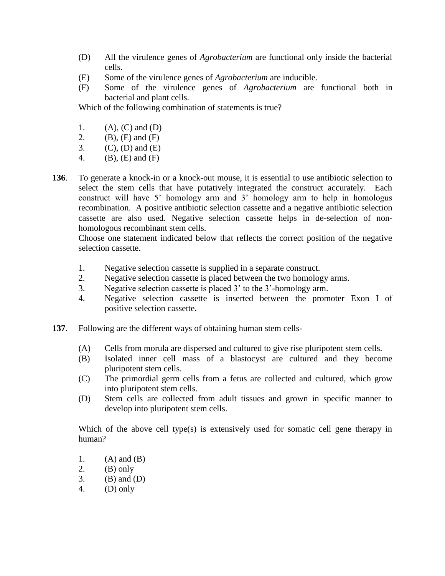- (D) All the virulence genes of *Agrobacterium* are functional only inside the bacterial cells.
- (E) Some of the virulence genes of *Agrobacterium* are inducible.
- (F) Some of the virulence genes of *Agrobacterium* are functional both in bacterial and plant cells.

Which of the following combination of statements is true?

- 1.  $(A), (C)$  and  $(D)$
- 2. (B), (E) and (F)
- 3. (C), (D) and (E)
- 4. (B), (E) and (F)
- **136**. To generate a knock-in or a knock-out mouse, it is essential to use antibiotic selection to select the stem cells that have putatively integrated the construct accurately. Each construct will have 5" homology arm and 3" homology arm to help in homologus recombination. A positive antibiotic selection cassette and a negative antibiotic selection cassette are also used. Negative selection cassette helps in de-selection of nonhomologous recombinant stem cells.

Choose one statement indicated below that reflects the correct position of the negative selection cassette.

- 1. Negative selection cassette is supplied in a separate construct.
- 2. Negative selection cassette is placed between the two homology arms.
- 3. Negative selection cassette is placed 3" to the 3"-homology arm.
- 4. Negative selection cassette is inserted between the promoter Exon I of positive selection cassette.
- **137**. Following are the different ways of obtaining human stem cells-
	- (A) Cells from morula are dispersed and cultured to give rise pluripotent stem cells.
	- (B) Isolated inner cell mass of a blastocyst are cultured and they become pluripotent stem cells.
	- (C) The primordial germ cells from a fetus are collected and cultured, which grow into pluripotent stem cells.
	- (D) Stem cells are collected from adult tissues and grown in specific manner to develop into pluripotent stem cells.

Which of the above cell type(s) is extensively used for somatic cell gene therapy in human?

- 1.  $(A)$  and  $(B)$
- 2.  $(B)$  only
- 3. (B) and  $(D)$
- 4. (D) only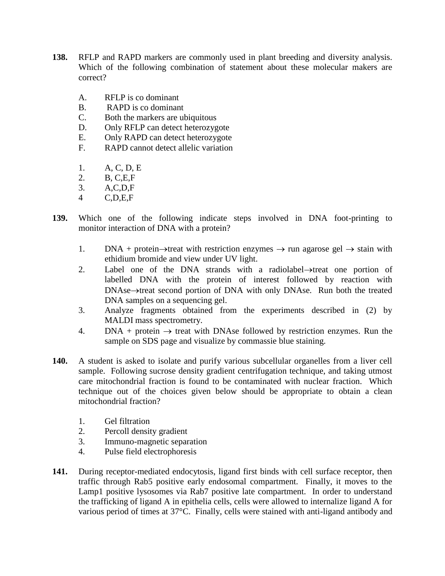- **138.** RFLP and RAPD markers are commonly used in plant breeding and diversity analysis. Which of the following combination of statement about these molecular makers are correct?
	- A. RFLP is co dominant
	- B. RAPD is co dominant
	- C. Both the markers are ubiquitous
	- D. Only RFLP can detect heterozygote
	- E. Only RAPD can detect heterozygote
	- F. RAPD cannot detect allelic variation
	- 1. A, C, D, E
	- 2. B, C,E,F
	- 3. A,C,D,F
	- 4 C,D,E,F
- **139.** Which one of the following indicate steps involved in DNA foot-printing to monitor interaction of DNA with a protein?
	- 1. DNA + protein $\rightarrow$ treat with restriction enzymes  $\rightarrow$  run agarose gel  $\rightarrow$  stain with ethidium bromide and view under UV light.
	- 2. Label one of the DNA strands with a radiolabel ->treat one portion of labelled DNA with the protein of interest followed by reaction with  $DNAse \rightarrow$  treat second portion of DNA with only DNAse. Run both the treated DNA samples on a sequencing gel.
	- 3. Analyze fragments obtained from the experiments described in (2) by MALDI mass spectrometry.
	- 4. DNA + protein  $\rightarrow$  treat with DNAse followed by restriction enzymes. Run the sample on SDS page and visualize by commassie blue staining.
- **140.** A student is asked to isolate and purify various subcellular organelles from a liver cell sample. Following sucrose density gradient centrifugation technique, and taking utmost care mitochondrial fraction is found to be contaminated with nuclear fraction. Which technique out of the choices given below should be appropriate to obtain a clean mitochondrial fraction?
	- 1. Gel filtration
	- 2. Percoll density gradient
	- 3. Immuno-magnetic separation
	- 4. Pulse field electrophoresis
- **141.** During receptor-mediated endocytosis, ligand first binds with cell surface receptor, then traffic through Rab5 positive early endosomal compartment. Finally, it moves to the Lamp1 positive lysosomes via Rab7 positive late compartment. In order to understand the trafficking of ligand A in epithelia cells, cells were allowed to internalize ligand A for various period of times at 37°C. Finally, cells were stained with anti-ligand antibody and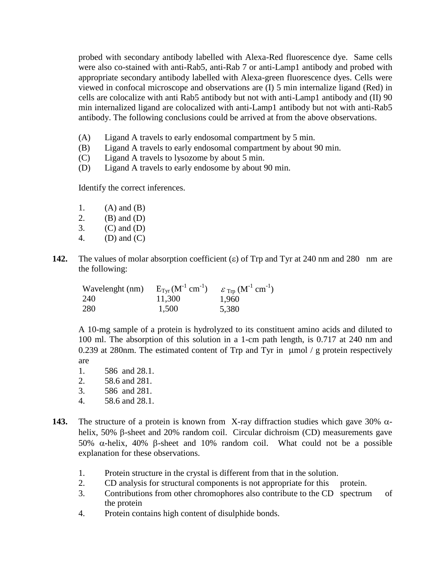probed with secondary antibody labelled with Alexa-Red fluorescence dye. Same cells were also co-stained with anti-Rab5, anti-Rab 7 or anti-Lamp1 antibody and probed with appropriate secondary antibody labelled with Alexa-green fluorescence dyes. Cells were viewed in confocal microscope and observations are (I) 5 min internalize ligand (Red) in cells are colocalize with anti Rab5 antibody but not with anti-Lamp1 antibody and (II) 90 min internalized ligand are colocalized with anti-Lamp1 antibody but not with anti-Rab5 antibody. The following conclusions could be arrived at from the above observations.

- (A) Ligand A travels to early endosomal compartment by 5 min.
- (B) Ligand A travels to early endosomal compartment by about 90 min.
- (C) Ligand A travels to lysozome by about 5 min.
- (D) Ligand A travels to early endosome by about 90 min.

Identify the correct inferences.

- 1.  $(A)$  and  $(B)$
- 2. (B) and (D)
- 3. (C) and (D)
- 4. (D) and (C)
- **142.** The values of molar absorption coefficient  $(\epsilon)$  of Trp and Tyr at 240 nm and 280 nm are the following:

Wavelenght (nm) 240 280  $E_{\text{Tyr}}$   $(\text{M}^{-1} \text{ cm}^{-1})$ 11,300 1,500  $\varepsilon$  Trp  $(M^{-1} \text{ cm}^{-1})$ 1,960 5,380

A 10-mg sample of a protein is hydrolyzed to its constituent amino acids and diluted to 100 ml. The absorption of this solution in a 1-cm path length, is 0.717 at 240 nm and 0.239 at 280nm. The estimated content of Trp and Tyr in  $\mu$ mol / g protein respectively are

- 1. 586 and 28.1.
- 2. 58.6 and 281.
- 3. 586 and 281.
- 4. 58.6 and 28.1.
- **143.** The structure of a protein is known from X-ray diffraction studies which gave 30%  $\alpha$ helix,  $50\%$   $\beta$ -sheet and  $20\%$  random coil. Circular dichroism (CD) measurements gave 50%  $\alpha$ -helix, 40%  $\beta$ -sheet and 10% random coil. What could not be a possible explanation for these observations.
	- 1. Protein structure in the crystal is different from that in the solution.
	- 2. CD analysis for structural components is not appropriate for this protein.
	- 3. Contributions from other chromophores also contribute to the CD spectrum of the protein
	- 4. Protein contains high content of disulphide bonds.